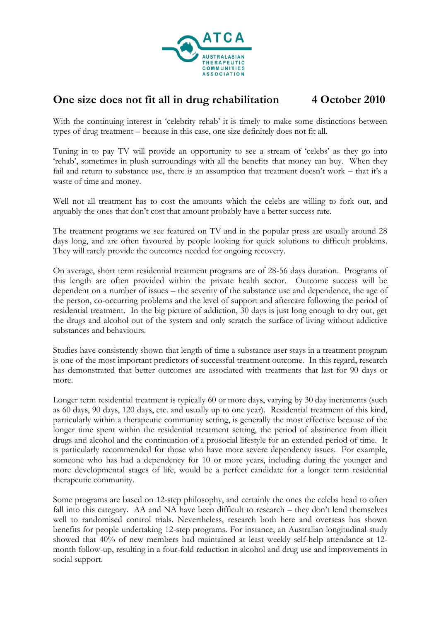

## **One size does not fit all in drug rehabilitation 4 October 2010**

With the continuing interest in 'celebrity rehab' it is timely to make some distinctions between types of drug treatment – because in this case, one size definitely does not fit all.

Tuning in to pay TV will provide an opportunity to see a stream of 'celebs' as they go into 'rehab', sometimes in plush surroundings with all the benefits that money can buy. When they fail and return to substance use, there is an assumption that treatment doesn't work – that it's a waste of time and money.

Well not all treatment has to cost the amounts which the celebs are willing to fork out, and arguably the ones that don't cost that amount probably have a better success rate.

The treatment programs we see featured on TV and in the popular press are usually around 28 days long, and are often favoured by people looking for quick solutions to difficult problems. They will rarely provide the outcomes needed for ongoing recovery.

On average, short term residential treatment programs are of 28-56 days duration. Programs of this length are often provided within the private health sector. Outcome success will be dependent on a number of issues – the severity of the substance use and dependence, the age of the person, co-occurring problems and the level of support and aftercare following the period of residential treatment. In the big picture of addiction, 30 days is just long enough to dry out, get the drugs and alcohol out of the system and only scratch the surface of living without addictive substances and behaviours.

Studies have consistently shown that length of time a substance user stays in a treatment program is one of the most important predictors of successful treatment outcome. In this regard, research has demonstrated that better outcomes are associated with treatments that last for 90 days or more.

Longer term residential treatment is typically 60 or more days, varying by 30 day increments (such as 60 days, 90 days, 120 days, etc. and usually up to one year). Residential treatment of this kind, particularly within a therapeutic community setting, is generally the most effective because of the longer time spent within the residential treatment setting, the period of abstinence from illicit drugs and alcohol and the continuation of a prosocial lifestyle for an extended period of time. It is particularly recommended for those who have more severe dependency issues. For example, someone who has had a dependency for 10 or more years, including during the younger and more developmental stages of life, would be a perfect candidate for a longer term residential therapeutic community.

Some programs are based on 12-step philosophy, and certainly the ones the celebs head to often fall into this category. AA and NA have been difficult to research – they don't lend themselves well to randomised control trials. Nevertheless, research both here and overseas has shown benefits for people undertaking 12-step programs. For instance, an Australian longitudinal study showed that 40% of new members had maintained at least weekly self-help attendance at 12 month follow-up, resulting in a four-fold reduction in alcohol and drug use and improvements in social support.